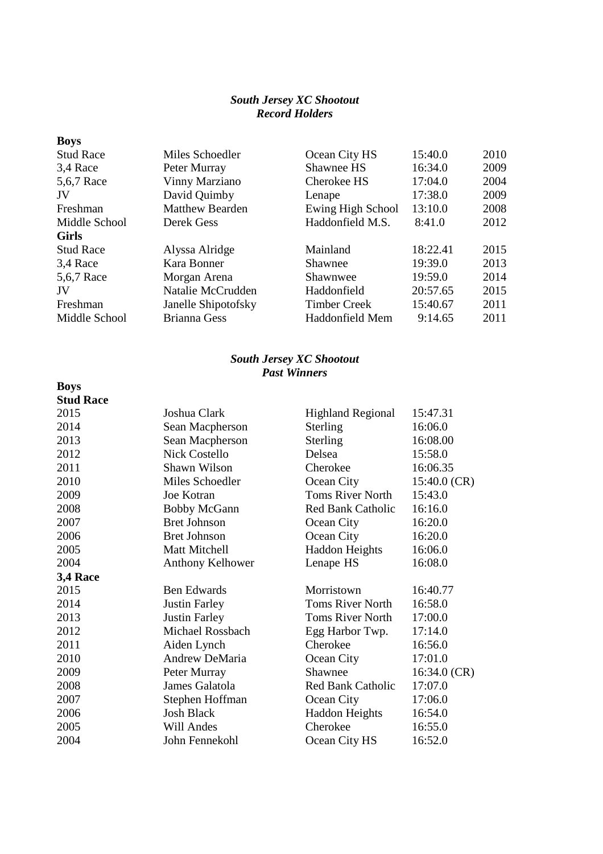## *South Jersey XC Shootout Record Holders*

| <b>Boys</b>      |                        |                     |          |      |
|------------------|------------------------|---------------------|----------|------|
| <b>Stud Race</b> | Miles Schoedler        | Ocean City HS       | 15:40.0  | 2010 |
| 3,4 Race         | Peter Murray           | Shawnee HS          | 16:34.0  | 2009 |
| 5,6,7 Race       | Vinny Marziano         | Cherokee HS         | 17:04.0  | 2004 |
| JV               | David Quimby           | Lenape              | 17:38.0  | 2009 |
| Freshman         | <b>Matthew Bearden</b> | Ewing High School   | 13:10.0  | 2008 |
| Middle School    | Derek Gess             | Haddonfield M.S.    | 8:41.0   | 2012 |
| <b>Girls</b>     |                        |                     |          |      |
| <b>Stud Race</b> | Alyssa Alridge         | Mainland            | 18:22.41 | 2015 |
| 3,4 Race         | Kara Bonner            | Shawnee             | 19:39.0  | 2013 |
| 5,6,7 Race       | Morgan Arena           | Shawnwee            | 19:59.0  | 2014 |
| JV               | Natalie McCrudden      | Haddonfield         | 20:57.65 | 2015 |
| Freshman         | Janelle Shipotofsky    | <b>Timber Creek</b> | 15:40.67 | 2011 |
| Middle School    | <b>Brianna Gess</b>    | Haddonfield Mem     | 9:14.65  | 2011 |

## *South Jersey XC Shootout Past Winners*

**Boys** 

## **Stud Race** 2015 Joshua Clark Highland Regional 15:47.31 2014 Sean Macpherson Sterling 16:06.0 2013 Sean Macpherson Sterling 16:08.00 2012 Nick Costello Delsea 15:58.0 2011 Shawn Wilson Cherokee 16:06.35 2010 Miles Schoedler Ocean City 15:40.0 (CR) 2009 Joe Kotran Toms River North 15:43.0 2008 Bobby McGann Red Bank Catholic 16:16.0 2007 Bret Johnson Ocean City 16:20.0 2006 Bret Johnson Ocean City 16:20.0 2005 Matt Mitchell Haddon Heights 16:06.0 2004 Anthony Kelhower Lenape HS 16:08.0 **3,4 Race** 2015 Ben Edwards Morristown 16:40.77 2014 Justin Farley Toms River North 16:58.0 2013 Justin Farley Toms River North 17:00.0 2012 Michael Rossbach Egg Harbor Twp. 17:14.0 2011 Aiden Lynch Cherokee 16:56.0 2010 Andrew DeMaria Coean City 17:01.0 2009 Peter Murray Shawnee 16:34.0 (CR) 2008 James Galatola Red Bank Catholic 17:07.0 2007 Stephen Hoffman Ocean City 17:06.0 2006 Josh Black Haddon Heights 16:54.0 2005 Will Andes Cherokee 16:55.0 2004 John Fennekohl Ocean City HS 16:52.0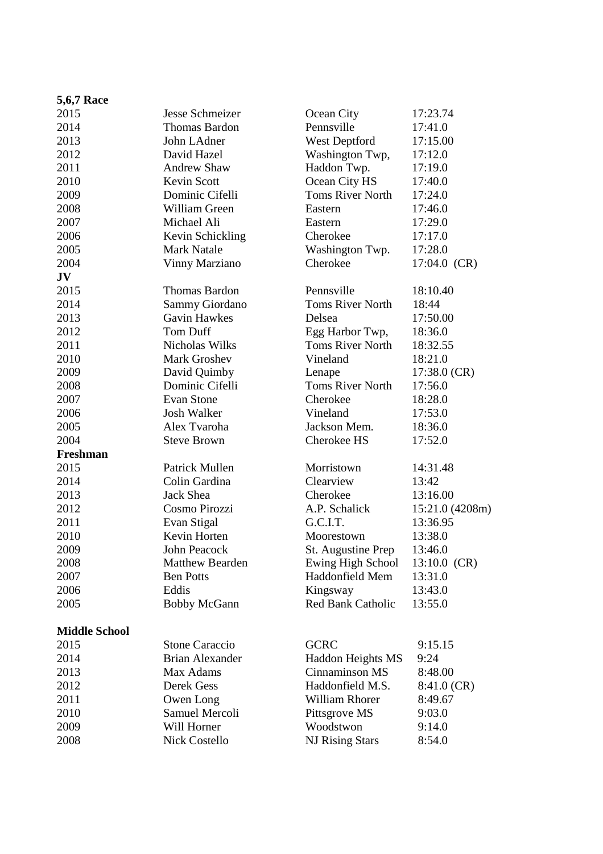| <b>5,6,7 Race</b>    |                        |                          |                 |
|----------------------|------------------------|--------------------------|-----------------|
| 2015                 | Jesse Schmeizer        | Ocean City               | 17:23.74        |
| 2014                 | <b>Thomas Bardon</b>   | Pennsville               | 17:41.0         |
| 2013                 | John LAdner            | West Deptford            | 17:15.00        |
| 2012                 | David Hazel            | Washington Twp,          | 17:12.0         |
| 2011                 | <b>Andrew Shaw</b>     | Haddon Twp.              | 17:19.0         |
| 2010                 | Kevin Scott            | Ocean City HS            | 17:40.0         |
| 2009                 | Dominic Cifelli        | <b>Toms River North</b>  | 17:24.0         |
| 2008                 | William Green          | Eastern                  | 17:46.0         |
| 2007                 | Michael Ali            | Eastern                  | 17:29.0         |
| 2006                 | Kevin Schickling       | Cherokee                 | 17:17.0         |
| 2005                 | <b>Mark Natale</b>     | Washington Twp.          | 17:28.0         |
| 2004                 | Vinny Marziano         | Cherokee                 | $17:04.0$ (CR)  |
| JV                   |                        |                          |                 |
| 2015                 | <b>Thomas Bardon</b>   | Pennsville               | 18:10.40        |
| 2014                 | Sammy Giordano         | <b>Toms River North</b>  | 18:44           |
| 2013                 | <b>Gavin Hawkes</b>    | Delsea                   | 17:50.00        |
| 2012                 | <b>Tom Duff</b>        | Egg Harbor Twp,          | 18:36.0         |
| 2011                 | Nicholas Wilks         | <b>Toms River North</b>  | 18:32.55        |
| 2010                 | Mark Groshev           | Vineland                 | 18:21.0         |
| 2009                 | David Quimby           | Lenape                   | $17:38.0$ (CR)  |
| 2008                 | Dominic Cifelli        | <b>Toms River North</b>  | 17:56.0         |
| 2007                 | Evan Stone             | Cherokee                 | 18:28.0         |
| 2006                 | <b>Josh Walker</b>     | Vineland                 | 17:53.0         |
| 2005                 | Alex Tvaroha           | Jackson Mem.             | 18:36.0         |
| 2004                 | <b>Steve Brown</b>     | Cherokee HS              | 17:52.0         |
| Freshman             |                        |                          |                 |
| 2015                 | Patrick Mullen         | Morristown               | 14:31.48        |
| 2014                 | Colin Gardina          | Clearview                | 13:42           |
| 2013                 | Jack Shea              | Cherokee                 | 13:16.00        |
| 2012                 | Cosmo Pirozzi          | A.P. Schalick            | 15:21.0 (4208m) |
| 2011                 | Evan Stigal            | G.C.I.T.                 | 13:36.95        |
| 2010                 | Kevin Horten           | Moorestown               | 13:38.0         |
| 2009                 | <b>John Peacock</b>    | St. Augustine Prep       | 13:46.0         |
| 2008                 | <b>Matthew Bearden</b> | Ewing High School        | $13:10.0$ (CR)  |
| 2007                 | <b>Ben Potts</b>       | Haddonfield Mem          | 13:31.0         |
| 2006                 | Eddis                  | Kingsway                 | 13:43.0         |
| 2005                 | <b>Bobby McGann</b>    | <b>Red Bank Catholic</b> | 13:55.0         |
| <b>Middle School</b> |                        |                          |                 |
| 2015                 | <b>Stone Caraccio</b>  | <b>GCRC</b>              | 9:15.15         |
| 2014                 | <b>Brian Alexander</b> | Haddon Heights MS        | 9:24            |
| 2013                 | Max Adams              | Cinnaminson MS           | 8:48.00         |
| 2012                 | Derek Gess             | Haddonfield M.S.         | $8:41.0$ (CR)   |
| 2011                 | Owen Long              | William Rhorer           | 8:49.67         |
| 2010                 | Samuel Mercoli         | Pittsgrove MS            | 9:03.0          |
| 2009                 | Will Horner            | Woodstwon                | 9:14.0          |
| 2008                 | <b>Nick Costello</b>   | <b>NJ Rising Stars</b>   | 8:54.0          |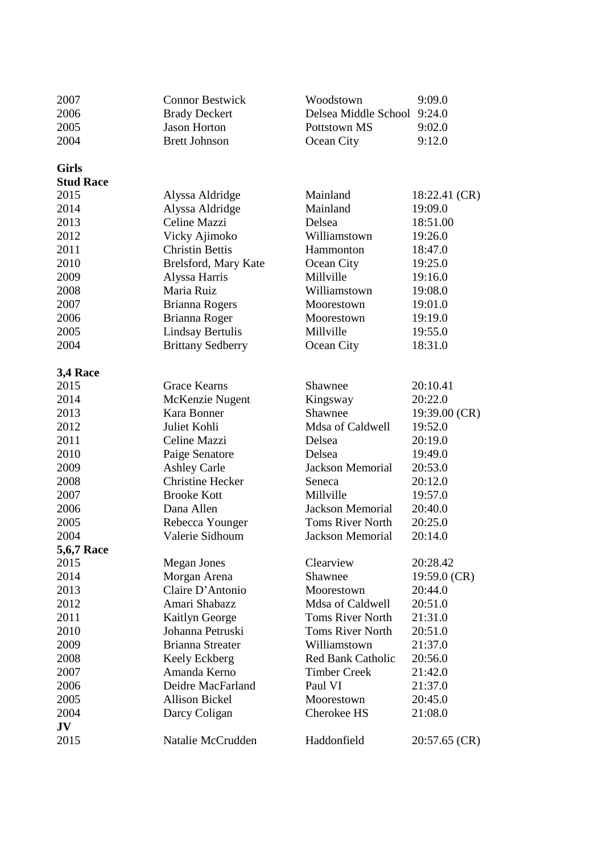| 2007<br>2006<br>2005<br>2004 | <b>Connor Bestwick</b><br><b>Brady Deckert</b><br><b>Jason Horton</b><br><b>Brett Johnson</b> | Woodstown<br>Delsea Middle School 9:24.0<br>Pottstown MS<br>Ocean City | 9:09.0<br>9:02.0<br>9:12.0 |
|------------------------------|-----------------------------------------------------------------------------------------------|------------------------------------------------------------------------|----------------------------|
| <b>Girls</b>                 |                                                                                               |                                                                        |                            |
| <b>Stud Race</b>             |                                                                                               |                                                                        |                            |
| 2015                         | Alyssa Aldridge                                                                               | Mainland                                                               | 18:22.41 (CR)              |
| 2014                         | Alyssa Aldridge                                                                               | Mainland                                                               | 19:09.0                    |
| 2013                         | Celine Mazzi                                                                                  | Delsea                                                                 | 18:51.00                   |
| 2012                         | Vicky Ajimoko                                                                                 | Williamstown                                                           | 19:26.0                    |
| 2011                         | <b>Christin Bettis</b>                                                                        | Hammonton                                                              | 18:47.0                    |
| 2010                         | Brelsford, Mary Kate                                                                          | Ocean City                                                             | 19:25.0                    |
| 2009                         | Alyssa Harris                                                                                 | Millville                                                              | 19:16.0                    |
| 2008                         | Maria Ruiz                                                                                    | Williamstown                                                           | 19:08.0                    |
| 2007                         | Brianna Rogers                                                                                | Moorestown                                                             | 19:01.0                    |
| 2006                         | Brianna Roger                                                                                 | Moorestown                                                             | 19:19.0                    |
| 2005                         | <b>Lindsay Bertulis</b>                                                                       | Millville                                                              | 19:55.0                    |
| 2004                         | <b>Brittany Sedberry</b>                                                                      | Ocean City                                                             | 18:31.0                    |
|                              |                                                                                               |                                                                        |                            |
| 3,4 Race                     |                                                                                               |                                                                        |                            |
| 2015                         | <b>Grace Kearns</b>                                                                           | Shawnee                                                                | 20:10.41                   |
| 2014                         | McKenzie Nugent                                                                               | Kingsway                                                               | 20:22.0                    |
| 2013                         | Kara Bonner                                                                                   | Shawnee                                                                | $19:39.00$ (CR)            |
| 2012                         | Juliet Kohli                                                                                  | Mdsa of Caldwell                                                       | 19:52.0                    |
| 2011                         | Celine Mazzi                                                                                  | Delsea                                                                 | 20:19.0                    |
| 2010                         | Paige Senatore                                                                                | Delsea                                                                 | 19:49.0                    |
| 2009                         | <b>Ashley Carle</b>                                                                           | <b>Jackson Memorial</b>                                                | 20:53.0                    |
| 2008                         | <b>Christine Hecker</b>                                                                       | Seneca                                                                 | 20:12.0                    |
| 2007                         | <b>Brooke Kott</b>                                                                            | Millville                                                              | 19:57.0                    |
| 2006                         | Dana Allen                                                                                    | <b>Jackson Memorial</b>                                                | 20:40.0                    |
| 2005                         | Rebecca Younger                                                                               | <b>Toms River North</b>                                                | 20:25.0                    |
| 2004                         | Valerie Sidhoum                                                                               | <b>Jackson Memorial</b>                                                | 20:14.0                    |
| <b>5,6,7 Race</b>            |                                                                                               |                                                                        |                            |
| 2015                         | <b>Megan Jones</b>                                                                            | Clearview                                                              | 20:28.42                   |
| 2014                         | Morgan Arena                                                                                  | Shawnee                                                                | $19:59.0$ (CR)             |
| 2013                         | Claire D'Antonio                                                                              | Moorestown                                                             | 20:44.0                    |
| 2012                         | Amari Shabazz                                                                                 | Mdsa of Caldwell                                                       | 20:51.0                    |
| 2011                         | Kaitlyn George                                                                                | <b>Toms River North</b>                                                | 21:31.0                    |
| 2010                         | Johanna Petruski                                                                              | <b>Toms River North</b>                                                | 20:51.0                    |
| 2009                         | <b>Brianna Streater</b>                                                                       | Williamstown                                                           | 21:37.0                    |
| 2008                         | Keely Eckberg                                                                                 | <b>Red Bank Catholic</b>                                               | 20:56.0                    |
| 2007                         | Amanda Kerno                                                                                  | <b>Timber Creek</b>                                                    | 21:42.0                    |
| 2006                         | Deidre MacFarland                                                                             | Paul VI                                                                | 21:37.0                    |
| 2005                         | <b>Allison Bickel</b>                                                                         | Moorestown                                                             | 20:45.0                    |
| 2004                         | Darcy Coligan                                                                                 | Cherokee HS                                                            | 21:08.0                    |
| JV                           |                                                                                               |                                                                        |                            |
| 2015                         | Natalie McCrudden                                                                             | Haddonfield                                                            | $20:57.65$ (CR)            |
|                              |                                                                                               |                                                                        |                            |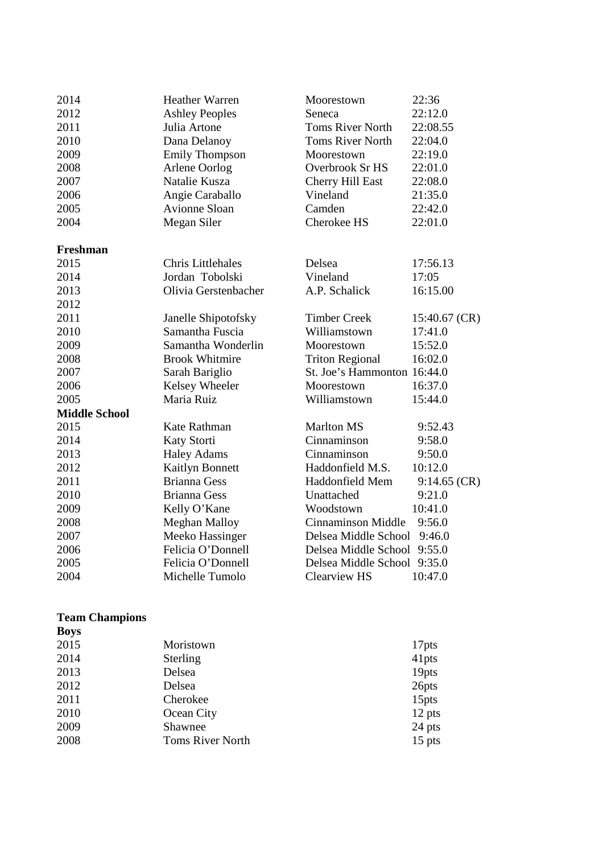| 2014                 | <b>Heather Warren</b>  | Moorestown                  | 22:36          |
|----------------------|------------------------|-----------------------------|----------------|
| 2012                 | <b>Ashley Peoples</b>  | Seneca                      | 22:12.0        |
| 2011                 | Julia Artone           | Toms River North            | 22:08.55       |
| 2010                 | Dana Delanoy           | <b>Toms River North</b>     | 22:04.0        |
| 2009                 | <b>Emily Thompson</b>  | Moorestown                  | 22:19.0        |
| 2008                 | Arlene Oorlog          | Overbrook Sr HS             | 22:01.0        |
| 2007                 | Natalie Kusza          | <b>Cherry Hill East</b>     | 22:08.0        |
| 2006                 | Angie Caraballo        | Vineland                    | 21:35.0        |
| 2005                 | <b>Avionne Sloan</b>   | Camden                      | 22:42.0        |
| 2004                 | Megan Siler            | Cherokee HS                 | 22:01.0        |
| Freshman             |                        |                             |                |
| 2015                 | Chris Littlehales      | Delsea                      | 17:56.13       |
| 2014                 | Jordan Tobolski        | Vineland                    | 17:05          |
| 2013                 | Olivia Gerstenbacher   | A.P. Schalick               | 16:15.00       |
| 2012                 |                        |                             |                |
| 2011                 | Janelle Shipotofsky    | <b>Timber Creek</b>         | 15:40.67 (CR)  |
| 2010                 | Samantha Fuscia        | Williamstown                | 17:41.0        |
| 2009                 | Samantha Wonderlin     | Moorestown                  | 15:52.0        |
| 2008                 | <b>Brook Whitmire</b>  | <b>Triton Regional</b>      | 16:02.0        |
| 2007                 | Sarah Bariglio         | St. Joe's Hammonton 16:44.0 |                |
| 2006                 | Kelsey Wheeler         | Moorestown                  | 16:37.0        |
| 2005                 | Maria Ruiz             | Williamstown                | 15:44.0        |
| <b>Middle School</b> |                        |                             |                |
| 2015                 | Kate Rathman           | <b>Marlton MS</b>           | 9:52.43        |
| 2014                 | Katy Storti            | Cinnaminson                 | 9:58.0         |
| 2013                 | <b>Haley Adams</b>     | Cinnaminson                 | 9:50.0         |
| 2012                 | <b>Kaitlyn Bonnett</b> | Haddonfield M.S.            | 10:12.0        |
| 2011                 | <b>Brianna Gess</b>    | Haddonfield Mem             | $9:14.65$ (CR) |
| 2010                 | <b>Brianna Gess</b>    | Unattached                  | 9:21.0         |
| 2009                 | Kelly O'Kane           | Woodstown                   | 10:41.0        |
| 2008                 | <b>Meghan Malloy</b>   | <b>Cinnaminson Middle</b>   | 9:56.0         |
| 2007                 | Meeko Hassinger        | Delsea Middle School 9:46.0 |                |
| 2006                 | Felicia O'Donnell      | Delsea Middle School 9:55.0 |                |
| 2005                 | Felicia O'Donnell      | Delsea Middle School 9:35.0 |                |
| 2004                 | Michelle Tumolo        | <b>Clearview HS</b>         | 10:47.0        |

## **Team Champions Boys**

| $\sim$ $\sim$ $\sim$ |                         |          |
|----------------------|-------------------------|----------|
| 2015                 | Moristown               | 17pts    |
| 2014                 | <b>Sterling</b>         | 41pts    |
| 2013                 | Delsea                  | 19pts    |
| 2012                 | Delsea                  | 26pts    |
| 2011                 | Cherokee                | 15pts    |
| 2010                 | Ocean City              | $12$ pts |
| 2009                 | Shawnee                 | 24 pts   |
| 2008                 | <b>Toms River North</b> | $15$ pts |
|                      |                         |          |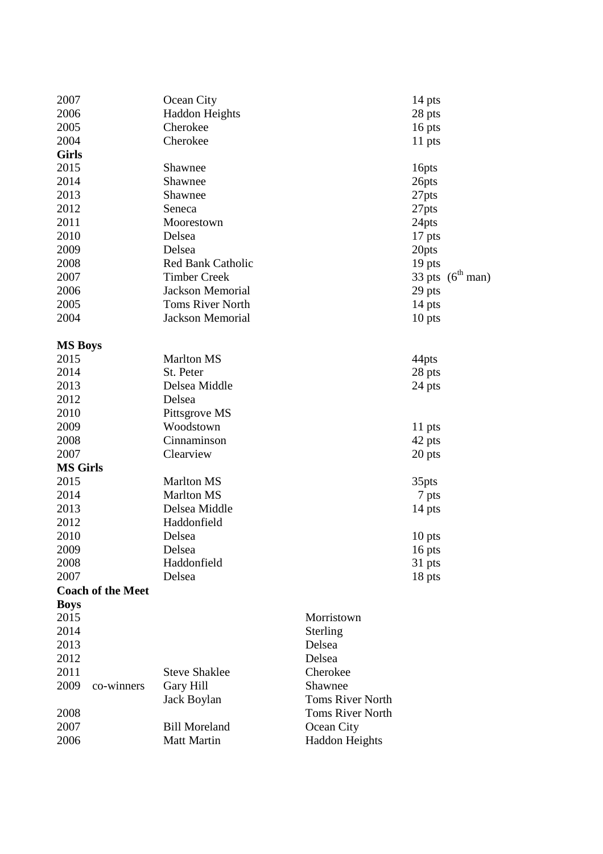| 2007            |                          | Ocean City              |                         | 14 pts |                |
|-----------------|--------------------------|-------------------------|-------------------------|--------|----------------|
| 2006            |                          | <b>Haddon Heights</b>   |                         | 28 pts |                |
| 2005            |                          | Cherokee                |                         | 16 pts |                |
| 2004            |                          | Cherokee                |                         | 11 pts |                |
| <b>Girls</b>    |                          |                         |                         |        |                |
| 2015            |                          | Shawnee                 |                         | 16pts  |                |
| 2014            |                          | Shawnee                 |                         | 26pts  |                |
| 2013            |                          | Shawnee                 |                         | 27pts  |                |
| 2012            |                          | Seneca                  |                         | 27pts  |                |
| 2011            |                          | Moorestown              |                         | 24pts  |                |
| 2010            |                          | Delsea                  |                         | 17 pts |                |
| 2009            |                          | Delsea                  |                         | 20pts  |                |
| 2008            |                          | Red Bank Catholic       |                         | 19 pts |                |
| 2007            |                          | <b>Timber Creek</b>     |                         | 33 pts | $(6^{th}$ man) |
| 2006            |                          | <b>Jackson Memorial</b> |                         | 29 pts |                |
| 2005            |                          | <b>Toms River North</b> |                         | 14 pts |                |
| 2004            |                          | <b>Jackson Memorial</b> |                         | 10 pts |                |
|                 |                          |                         |                         |        |                |
| <b>MS Boys</b>  |                          |                         |                         |        |                |
| 2015            |                          | <b>Marlton MS</b>       |                         | 44pts  |                |
| 2014            |                          | St. Peter               |                         | 28 pts |                |
| 2013            |                          | Delsea Middle           |                         | 24 pts |                |
| 2012            |                          | Delsea                  |                         |        |                |
| 2010            |                          | Pittsgrove MS           |                         |        |                |
| 2009            |                          | Woodstown               |                         | 11 pts |                |
| 2008            |                          | Cinnaminson             |                         | 42 pts |                |
| 2007            |                          | Clearview               |                         | 20 pts |                |
| <b>MS Girls</b> |                          |                         |                         |        |                |
| 2015            |                          | <b>Marlton MS</b>       |                         | 35pts  |                |
| 2014            |                          | <b>Marlton MS</b>       |                         | 7 pts  |                |
| 2013            |                          | Delsea Middle           |                         | 14 pts |                |
| 2012            |                          | Haddonfield             |                         |        |                |
| 2010            |                          | Delsea                  |                         | 10 pts |                |
| 2009            |                          | Delsea                  |                         | 16 pts |                |
| 2008            |                          | Haddonfield             |                         | 31 pts |                |
| 2007            |                          | Delsea                  |                         | 18 pts |                |
|                 | <b>Coach of the Meet</b> |                         |                         |        |                |
| <b>Boys</b>     |                          |                         |                         |        |                |
| 2015            |                          |                         | Morristown              |        |                |
| 2014            |                          |                         | Sterling                |        |                |
| 2013            |                          |                         | Delsea                  |        |                |
| 2012            |                          |                         | Delsea                  |        |                |
| 2011            |                          | <b>Steve Shaklee</b>    | Cherokee                |        |                |
| 2009            | co-winners               | Gary Hill               | Shawnee                 |        |                |
|                 |                          | Jack Boylan             | <b>Toms River North</b> |        |                |
| 2008            |                          |                         | <b>Toms River North</b> |        |                |
| 2007            |                          | <b>Bill Moreland</b>    | Ocean City              |        |                |
|                 |                          |                         |                         |        |                |
| 2006            |                          | Matt Martin             | <b>Haddon Heights</b>   |        |                |